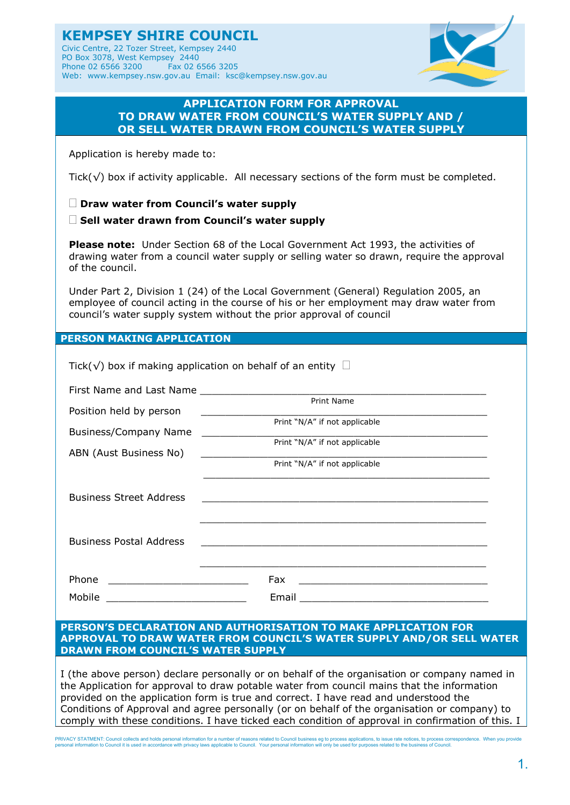**KEMPSEY SHIRE COUNCIL** Civic Centre, 22 Tozer Street, Kempsey 2440 PO Box 3078, West Kempsey 2440<br>Phone 02 6566 3200 Fax 02 6566 3205 Phone 02 6566 3200 Web: www.kempsey.nsw.gov.au Email: ksc@kempsey.nsw.gov.au



## **APPLICATION FORM FOR APPROVAL TO DRAW WATER FROM COUNCIL'S WATER SUPPLY AND / OR SELL WATER DRAWN FROM COUNCIL'S WATER SUPPLY**

Application is hereby made to:

Tick( $\sqrt{}$ ) box if activity applicable. All necessary sections of the form must be completed.

**Draw water from Council's water supply**

**Sell water drawn from Council's water supply**

**Please note:** Under Section 68 of the Local Government Act 1993, the activities of drawing water from a council water supply or selling water so drawn, require the approval of the council.

Under Part 2, Division 1 (24) of the Local Government (General) Regulation 2005, an employee of council acting in the course of his or her employment may draw water from council's water supply system without the prior approval of council

**PERSON MAKING APPLICATION**

| Tick( $\sqrt{ }$ ) box if making application on behalf of an entity $\Box$ |                                                                                                                        |  |
|----------------------------------------------------------------------------|------------------------------------------------------------------------------------------------------------------------|--|
|                                                                            |                                                                                                                        |  |
| Position held by person                                                    | Print Name                                                                                                             |  |
|                                                                            | Print "N/A" if not applicable                                                                                          |  |
| Business/Company Name                                                      | Print "N/A" if not applicable                                                                                          |  |
| ABN (Aust Business No)                                                     | <u> 1990 - Johann Barnett, fransk politiker (</u><br>Print "N/A" if not applicable                                     |  |
|                                                                            |                                                                                                                        |  |
| <b>Business Street Address</b>                                             | <u> 1989 - Johann John Harry, mars and deutscher Stadt and deutscher Stadt and deutscher Stadt and deutscher Stadt</u> |  |
|                                                                            |                                                                                                                        |  |
|                                                                            |                                                                                                                        |  |
| <b>Business Postal Address</b>                                             |                                                                                                                        |  |
|                                                                            |                                                                                                                        |  |
| Phone                                                                      | Fax                                                                                                                    |  |
| Mobile<br><u> 1990 - Johann Barbara, martin amerikan basa</u>              | Email                                                                                                                  |  |

#### **PERSON'S DECLARATION AND AUTHORISATION TO MAKE APPLICATION FOR APPROVAL TO DRAW WATER FROM COUNCIL'S WATER SUPPLY AND/OR SELL WATER DRAWN FROM COUNCIL'S WATER SUPPLY**

I (the above person) declare personally or on behalf of the organisation or company named in the Application for approval to draw potable water from council mains that the information provided on the application form is true and correct. I have read and understood the Conditions of Approval and agree personally (or on behalf of the organisation or company) to comply with these conditions. I have ticked each condition of approval in confirmation of this. I

PRIVACY STATMENT: Council collects and holds personal information for a number of reasons related to Council business eg to process applications, to issue rate notices, to process correspondence. When you provide<br>personal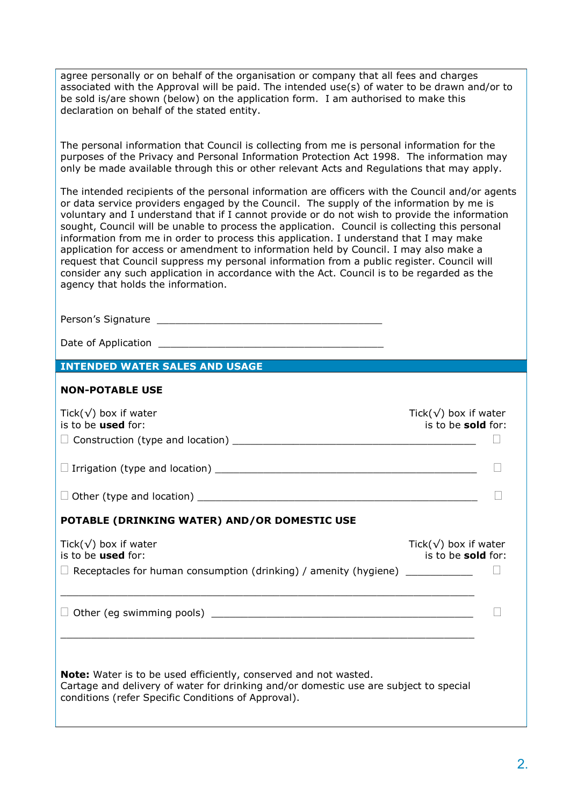agree personally or on behalf of the organisation or company that all fees and charges associated with the Approval will be paid. The intended use(s) of water to be drawn and/or to be sold is/are shown (below) on the application form. I am authorised to make this declaration on behalf of the stated entity.

The personal information that Council is collecting from me is personal information for the purposes of the Privacy and Personal Information Protection Act 1998. The information may only be made available through this or other relevant Acts and Regulations that may apply.

The intended recipients of the personal information are officers with the Council and/or agents or data service providers engaged by the Council. The supply of the information by me is voluntary and I understand that if I cannot provide or do not wish to provide the information sought, Council will be unable to process the application. Council is collecting this personal information from me in order to process this application. I understand that I may make application for access or amendment to information held by Council. I may also make a request that Council suppress my personal information from a public register. Council will consider any such application in accordance with the Act. Council is to be regarded as the agency that holds the information.

Person's Signature \_\_\_\_\_\_\_\_\_\_\_\_\_\_\_\_\_\_\_\_\_\_\_\_\_\_\_\_\_\_\_\_\_\_\_\_\_

Date of Application

### **INTENDED WATER SALES AND USAGE**

#### **NON-POTABLE USE**

| Tick( $\sqrt{}$ ) box if water<br>is to be used for:                                                                                                                                                                    | Tick( $\sqrt{}$ ) box if water<br>is to be <b>sold</b> for: |
|-------------------------------------------------------------------------------------------------------------------------------------------------------------------------------------------------------------------------|-------------------------------------------------------------|
|                                                                                                                                                                                                                         |                                                             |
|                                                                                                                                                                                                                         |                                                             |
|                                                                                                                                                                                                                         |                                                             |
| POTABLE (DRINKING WATER) AND/OR DOMESTIC USE                                                                                                                                                                            |                                                             |
| Tick( $\sqrt{}$ ) box if water<br>is to be used for:<br>$\Box$ Receptacles for human consumption (drinking) / amenity (hygiene) ___________                                                                             | Tick( $\sqrt{}$ ) box if water<br>is to be sold for:        |
|                                                                                                                                                                                                                         |                                                             |
| <b>Note:</b> Water is to be used efficiently, conserved and not wasted.<br>Cartage and delivery of water for drinking and/or domestic use are subject to special<br>conditions (refer Specific Conditions of Approval). |                                                             |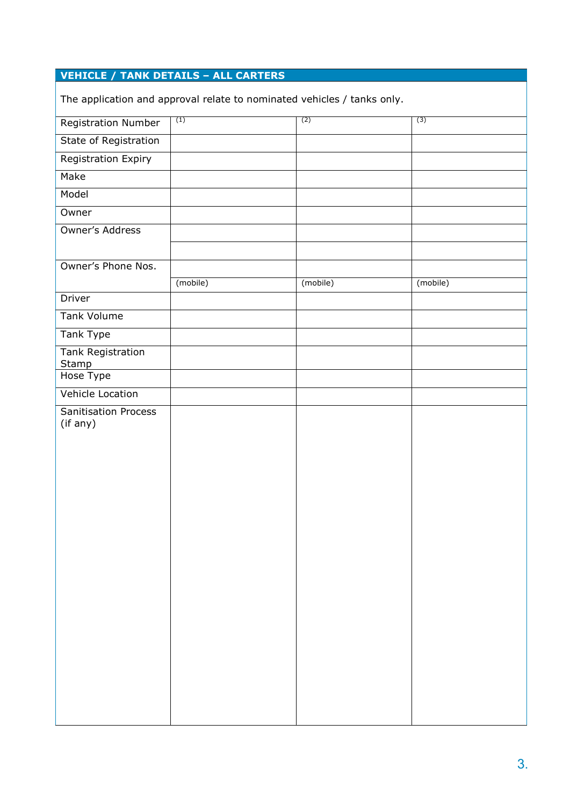# **VEHICLE / TANK DETAILS – ALL CARTERS**

The application and approval relate to nominated vehicles / tanks only.

| . .<br>. .                   |          |          |          |
|------------------------------|----------|----------|----------|
| <b>Registration Number</b>   | (1)      | (2)      | (3)      |
| <b>State of Registration</b> |          |          |          |
| <b>Registration Expiry</b>   |          |          |          |
| Make                         |          |          |          |
| Model                        |          |          |          |
| Owner                        |          |          |          |
| Owner's Address              |          |          |          |
|                              |          |          |          |
| Owner's Phone Nos.           |          |          |          |
|                              | (mobile) | (mobile) | (mobile) |
| Driver                       |          |          |          |
| Tank Volume                  |          |          |          |
| <b>Tank Type</b>             |          |          |          |
| <b>Tank Registration</b>     |          |          |          |
| <b>Stamp</b><br>Hose Type    |          |          |          |
| Vehicle Location             |          |          |          |
| Sanitisation Process         |          |          |          |
| (if any)                     |          |          |          |
|                              |          |          |          |
|                              |          |          |          |
|                              |          |          |          |
|                              |          |          |          |
|                              |          |          |          |
|                              |          |          |          |
|                              |          |          |          |
|                              |          |          |          |
|                              |          |          |          |
|                              |          |          |          |
|                              |          |          |          |
|                              |          |          |          |
|                              |          |          |          |
|                              |          |          |          |
|                              |          |          |          |
|                              |          |          |          |
|                              |          |          |          |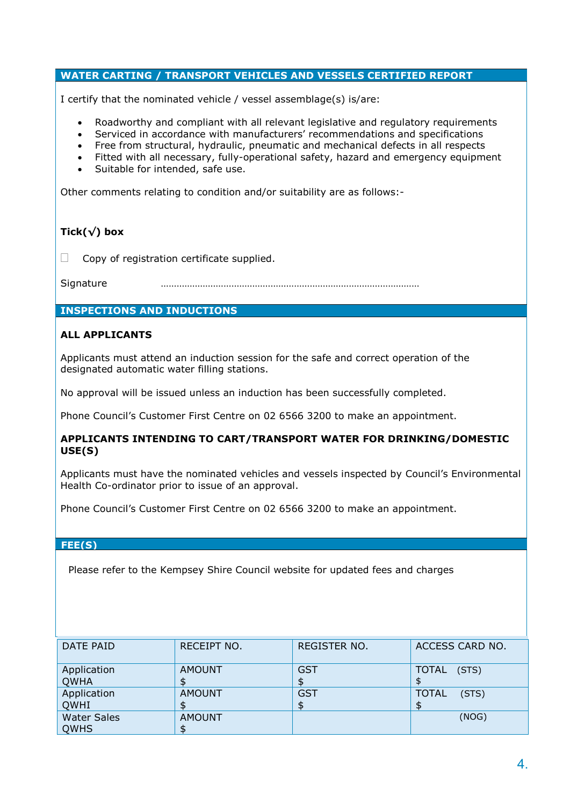## **WATER CARTING / TRANSPORT VEHICLES AND VESSELS CERTIFIED REPORT**

I certify that the nominated vehicle / vessel assemblage(s) is/are:

- Roadworthy and compliant with all relevant legislative and regulatory requirements
- Serviced in accordance with manufacturers' recommendations and specifications
- Free from structural, hydraulic, pneumatic and mechanical defects in all respects
- Fitted with all necessary, fully-operational safety, hazard and emergency equipment
- Suitable for intended, safe use.

Other comments relating to condition and/or suitability are as follows:-

## **Tick(√) box**

 $\Box$  Copy of registration certificate supplied.

Signature ………………………………………………………………………………………

## **INSPECTIONS AND INDUCTIONS**

## **ALL APPLICANTS**

Applicants must attend an induction session for the safe and correct operation of the designated automatic water filling stations.

No approval will be issued unless an induction has been successfully completed.

Phone Council's Customer First Centre on 02 6566 3200 to make an appointment.

### **APPLICANTS INTENDING TO CART/TRANSPORT WATER FOR DRINKING/DOMESTIC USE(S)**

Applicants must have the nominated vehicles and vessels inspected by Council's Environmental Health Co-ordinator prior to issue of an approval.

Phone Council's Customer First Centre on 02 6566 3200 to make an appointment.

## **FEE(S)**

Please refer to the Kempsey Shire Council website for updated fees and charges

| DATE PAID          | RECEIPT NO.   | REGISTER NO. | ACCESS CARD NO.       |
|--------------------|---------------|--------------|-----------------------|
| Application        | <b>AMOUNT</b> | <b>GST</b>   | TOTAL (STS)           |
| <b>QWHA</b>        |               |              |                       |
| Application        | <b>AMOUNT</b> | <b>GST</b>   | <b>TOTAL</b><br>(STS) |
| <b>QWHI</b>        |               |              |                       |
| <b>Water Sales</b> | <b>AMOUNT</b> |              | (NOG)                 |
| <b>QWHS</b>        |               |              |                       |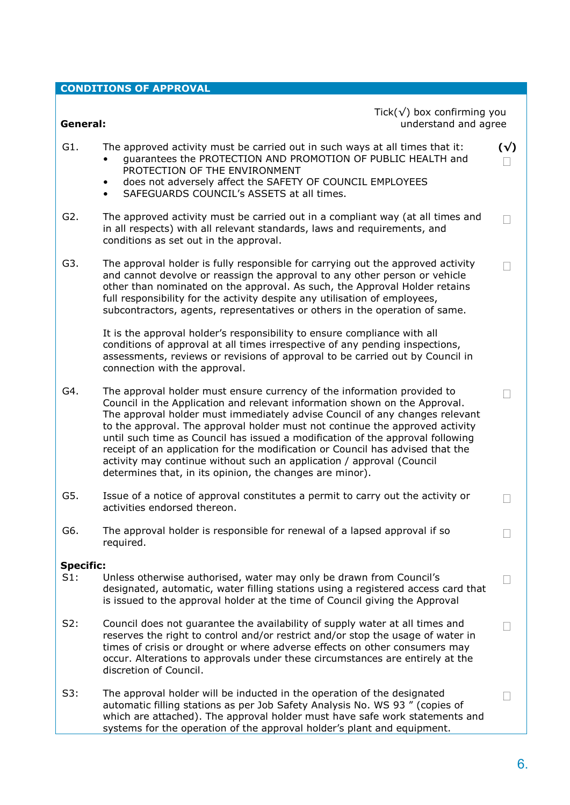# **CONDITIONS OF APPROVAL**

 $\mathbb{R}$  of  $\wedge$  boy confi

| General:         |                                                                                                                                                                                                                                                                                                                                                                                                                                                                                                                                                                                                                               | $Tick(\sqrt{})$ box confirming you<br>understand and agree |                   |  |
|------------------|-------------------------------------------------------------------------------------------------------------------------------------------------------------------------------------------------------------------------------------------------------------------------------------------------------------------------------------------------------------------------------------------------------------------------------------------------------------------------------------------------------------------------------------------------------------------------------------------------------------------------------|------------------------------------------------------------|-------------------|--|
| G1.              | The approved activity must be carried out in such ways at all times that it:<br>guarantees the PROTECTION AND PROMOTION OF PUBLIC HEALTH and<br>$\bullet$<br>PROTECTION OF THE ENVIRONMENT<br>does not adversely affect the SAFETY OF COUNCIL EMPLOYEES<br>$\bullet$<br>SAFEGUARDS COUNCIL's ASSETS at all times.<br>$\bullet$                                                                                                                                                                                                                                                                                                |                                                            | $(\sqrt{2})$      |  |
| G2.              | The approved activity must be carried out in a compliant way (at all times and<br>in all respects) with all relevant standards, laws and requirements, and<br>conditions as set out in the approval.                                                                                                                                                                                                                                                                                                                                                                                                                          |                                                            | $\Box$            |  |
| G3.              | The approval holder is fully responsible for carrying out the approved activity<br>and cannot devolve or reassign the approval to any other person or vehicle<br>other than nominated on the approval. As such, the Approval Holder retains<br>full responsibility for the activity despite any utilisation of employees,<br>subcontractors, agents, representatives or others in the operation of same.                                                                                                                                                                                                                      |                                                            | $\vert \ \ \vert$ |  |
|                  | It is the approval holder's responsibility to ensure compliance with all<br>conditions of approval at all times irrespective of any pending inspections,<br>assessments, reviews or revisions of approval to be carried out by Council in<br>connection with the approval.                                                                                                                                                                                                                                                                                                                                                    |                                                            |                   |  |
| G4.              | The approval holder must ensure currency of the information provided to<br>Council in the Application and relevant information shown on the Approval.<br>The approval holder must immediately advise Council of any changes relevant<br>to the approval. The approval holder must not continue the approved activity<br>until such time as Council has issued a modification of the approval following<br>receipt of an application for the modification or Council has advised that the<br>activity may continue without such an application / approval (Council<br>determines that, in its opinion, the changes are minor). |                                                            |                   |  |
| G5.              | Issue of a notice of approval constitutes a permit to carry out the activity or<br>activities endorsed thereon.                                                                                                                                                                                                                                                                                                                                                                                                                                                                                                               |                                                            | Г                 |  |
| G6.              | The approval holder is responsible for renewal of a lapsed approval if so<br>required.                                                                                                                                                                                                                                                                                                                                                                                                                                                                                                                                        |                                                            |                   |  |
| <b>Specific:</b> |                                                                                                                                                                                                                                                                                                                                                                                                                                                                                                                                                                                                                               |                                                            |                   |  |
| S1:              | Unless otherwise authorised, water may only be drawn from Council's<br>designated, automatic, water filling stations using a registered access card that<br>is issued to the approval holder at the time of Council giving the Approval                                                                                                                                                                                                                                                                                                                                                                                       |                                                            |                   |  |
| S2:              | Council does not guarantee the availability of supply water at all times and<br>reserves the right to control and/or restrict and/or stop the usage of water in<br>times of crisis or drought or where adverse effects on other consumers may<br>occur. Alterations to approvals under these circumstances are entirely at the<br>discretion of Council.                                                                                                                                                                                                                                                                      |                                                            |                   |  |
| S3:              | The approval holder will be inducted in the operation of the designated                                                                                                                                                                                                                                                                                                                                                                                                                                                                                                                                                       |                                                            |                   |  |

automatic filling stations as per Job Safety Analysis No. WS 93 " (copies of which are attached). The approval holder must have safe work statements and systems for the operation of the approval holder's plant and equipment.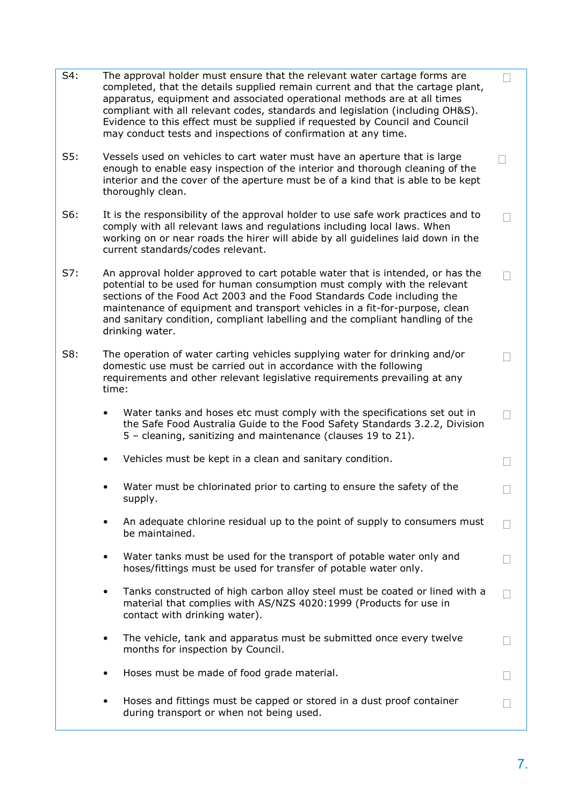| S4: | The approval holder must ensure that the relevant water cartage forms are<br>completed, that the details supplied remain current and that the cartage plant,<br>apparatus, equipment and associated operational methods are at all times<br>compliant with all relevant codes, standards and legislation (including OH&S).<br>Evidence to this effect must be supplied if requested by Council and Council<br>may conduct tests and inspections of confirmation at any time. |  |
|-----|------------------------------------------------------------------------------------------------------------------------------------------------------------------------------------------------------------------------------------------------------------------------------------------------------------------------------------------------------------------------------------------------------------------------------------------------------------------------------|--|
| S5: | Vessels used on vehicles to cart water must have an aperture that is large<br>enough to enable easy inspection of the interior and thorough cleaning of the<br>interior and the cover of the aperture must be of a kind that is able to be kept<br>thoroughly clean.                                                                                                                                                                                                         |  |
| S6: | It is the responsibility of the approval holder to use safe work practices and to<br>comply with all relevant laws and regulations including local laws. When<br>working on or near roads the hirer will abide by all guidelines laid down in the<br>current standards/codes relevant.                                                                                                                                                                                       |  |
| S7: | An approval holder approved to cart potable water that is intended, or has the<br>potential to be used for human consumption must comply with the relevant<br>sections of the Food Act 2003 and the Food Standards Code including the<br>maintenance of equipment and transport vehicles in a fit-for-purpose, clean<br>and sanitary condition, compliant labelling and the compliant handling of the<br>drinking water.                                                     |  |
| S8: | The operation of water carting vehicles supplying water for drinking and/or<br>domestic use must be carried out in accordance with the following<br>requirements and other relevant legislative requirements prevailing at any<br>time:                                                                                                                                                                                                                                      |  |
|     | Water tanks and hoses etc must comply with the specifications set out in<br>$\bullet$<br>the Safe Food Australia Guide to the Food Safety Standards 3.2.2, Division<br>5 - cleaning, sanitizing and maintenance (clauses 19 to 21).                                                                                                                                                                                                                                          |  |
|     | Vehicles must be kept in a clean and sanitary condition.<br>$\bullet$                                                                                                                                                                                                                                                                                                                                                                                                        |  |
|     | Water must be chlorinated prior to carting to ensure the safety of the<br>supply.                                                                                                                                                                                                                                                                                                                                                                                            |  |
|     | An adequate chlorine residual up to the point of supply to consumers must<br>be maintained.                                                                                                                                                                                                                                                                                                                                                                                  |  |
|     | Water tanks must be used for the transport of potable water only and<br>$\bullet$<br>hoses/fittings must be used for transfer of potable water only.                                                                                                                                                                                                                                                                                                                         |  |
|     | Tanks constructed of high carbon alloy steel must be coated or lined with a<br>$\bullet$<br>material that complies with AS/NZS 4020:1999 (Products for use in<br>contact with drinking water).                                                                                                                                                                                                                                                                               |  |
|     | The vehicle, tank and apparatus must be submitted once every twelve<br>$\bullet$<br>months for inspection by Council.                                                                                                                                                                                                                                                                                                                                                        |  |
|     | Hoses must be made of food grade material.<br>$\bullet$                                                                                                                                                                                                                                                                                                                                                                                                                      |  |
|     | Hoses and fittings must be capped or stored in a dust proof container<br>during transport or when not being used.                                                                                                                                                                                                                                                                                                                                                            |  |